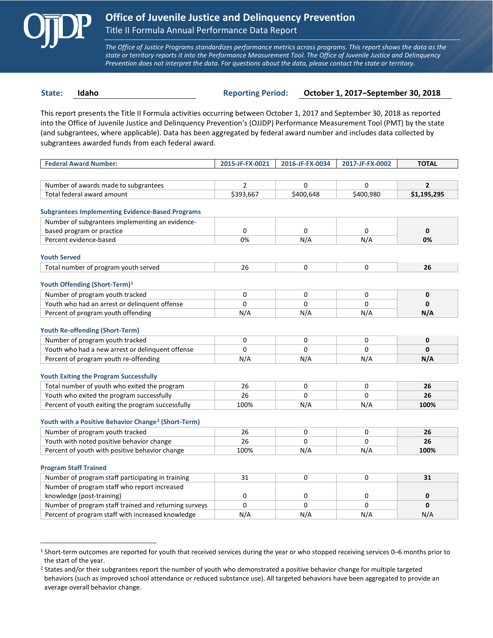

 $\overline{a}$ 

*The Office of Justice Programs standardizes performance metrics across programs. This report shows the data as the state or territory reports it into the Performance Measurement Tool. The Office of Juvenile Justice and Delinquency Prevention does not interpret the data. For questions about the data, please contact the state or territory.*

**State: Idaho Reporting Period: October 1, 2017–September 30, 2018**

This report presents the Title II Formula activities occurring between October 1, 2017 and September 30, 2018 as reported into the Office of Juvenile Justice and Delinquency Prevention's (OJJDP) Performance Measurement Tool (PMT) by the state (and subgrantees, where applicable). Data has been aggregated by federal award number and includes data collected by subgrantees awarded funds from each federal award.

| <b>Federal Award Number:</b>                                    | 2015-JF-FX-0021 | 2016-JF-FX-0034 | 2017-JF-FX-0002 | <b>TOTAL</b>   |
|-----------------------------------------------------------------|-----------------|-----------------|-----------------|----------------|
|                                                                 |                 |                 |                 |                |
| Number of awards made to subgrantees                            | $\overline{2}$  | 0               | 0               | $\overline{2}$ |
| Total federal award amount                                      | \$393,667       | \$400,648       | \$400,980       | \$1,195,295    |
|                                                                 |                 |                 |                 |                |
| <b>Subgrantees Implementing Evidence-Based Programs</b>         |                 |                 |                 |                |
| Number of subgrantees implementing an evidence-                 |                 |                 |                 |                |
| based program or practice                                       | $\Omega$        | $\Omega$        | 0               | $\mathbf{0}$   |
| Percent evidence-based                                          | 0%              | N/A             | N/A             | 0%             |
| <b>Youth Served</b>                                             |                 |                 |                 |                |
| Total number of program youth served                            | 26              | 0               | 0               | 26             |
|                                                                 |                 |                 |                 |                |
| Youth Offending (Short-Term) <sup>1</sup>                       |                 |                 |                 |                |
| Number of program youth tracked                                 | 0               | 0               | 0               | $\mathbf 0$    |
| Youth who had an arrest or delinquent offense                   | $\Omega$        | $\Omega$        | 0               | $\Omega$       |
| Percent of program youth offending                              | N/A             | N/A             | N/A             | N/A            |
|                                                                 |                 |                 |                 |                |
| <b>Youth Re-offending (Short-Term)</b>                          |                 |                 |                 |                |
| Number of program youth tracked                                 | 0               | 0               | 0               | $\mathbf 0$    |
| Youth who had a new arrest or delinguent offense                | $\Omega$        | $\Omega$        | 0               | $\mathbf{0}$   |
| Percent of program youth re-offending                           | N/A             | N/A             | N/A             | N/A            |
|                                                                 |                 |                 |                 |                |
| <b>Youth Exiting the Program Successfully</b>                   |                 |                 |                 |                |
| Total number of youth who exited the program                    | 26              | 0               | 0               | 26             |
| Youth who exited the program successfully                       | 26              | 0               | 0               | 26             |
| Percent of youth exiting the program successfully               | 100%            | N/A             | N/A             | 100%           |
| Youth with a Positive Behavior Change <sup>2</sup> (Short-Term) |                 |                 |                 |                |
| Number of program youth tracked                                 | 26              | 0               | 0               | 26             |
| Youth with noted positive behavior change                       | 26              | $\Omega$        | $\Omega$        | 26             |
| Percent of youth with positive behavior change                  | 100%            | N/A             | N/A             | 100%           |
|                                                                 |                 |                 |                 |                |
| <b>Program Staff Trained</b>                                    |                 |                 |                 |                |
| Number of program staff participating in training               | 31              | 0               | 0               | 31             |
| Number of program staff who report increased                    |                 |                 |                 |                |
| knowledge (post-training)                                       | $\mathbf 0$     | 0               | 0               | 0              |
| Number of program staff trained and returning surveys           | $\Omega$        | $\Omega$        | 0               | $\mathbf{0}$   |
| Percent of program staff with increased knowledge               | N/A             | N/A             | N/A             | N/A            |

<span id="page-0-0"></span><sup>1</sup> Short-term outcomes are reported for youth that received services during the year or who stopped receiving services 0–6 months prior to the start of the year.

<span id="page-0-1"></span><sup>&</sup>lt;sup>2</sup> States and/or their subgrantees report the number of youth who demonstrated a positive behavior change for multiple targeted behaviors (such as improved school attendance or reduced substance use). All targeted behaviors have been aggregated to provide an average overall behavior change.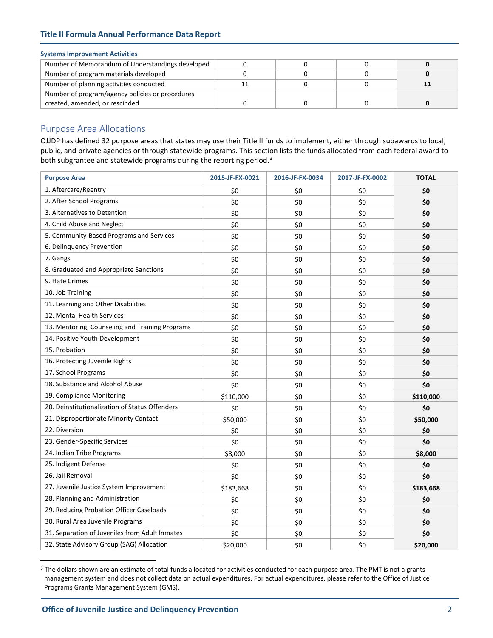## **Title II Formula Annual Performance Data Report**

## **Systems Improvement Activities**

| Number of Memorandum of Understandings developed |  |  |
|--------------------------------------------------|--|--|
| Number of program materials developed            |  |  |
| Number of planning activities conducted          |  |  |
| Number of program/agency policies or procedures  |  |  |
| created, amended, or rescinded                   |  |  |

## Purpose Area Allocations

OJJDP has defined 32 purpose areas that states may use their Title II funds to implement, either through subawards to local, public, and private agencies or through statewide programs. This section lists the funds allocated from each federal award to both subgrantee and statewide programs during the reporting period.<sup>[3](#page-1-0)</sup>

| <b>Purpose Area</b>                             | 2015-JF-FX-0021 | 2016-JF-FX-0034 | 2017-JF-FX-0002 | <b>TOTAL</b> |
|-------------------------------------------------|-----------------|-----------------|-----------------|--------------|
| 1. Aftercare/Reentry                            | \$0             | \$0             | \$0             | \$0          |
| 2. After School Programs                        | \$0             | \$0             | \$0             | \$0          |
| 3. Alternatives to Detention                    | \$0             | \$0             | \$0             | \$0          |
| 4. Child Abuse and Neglect                      | \$0             | \$0             | \$0             | \$0          |
| 5. Community-Based Programs and Services        | \$0             | \$0             | \$0             | \$0          |
| 6. Delinquency Prevention                       | \$0             | \$0             | \$0             | \$0          |
| 7. Gangs                                        | \$0             | \$0             | \$0             | \$0          |
| 8. Graduated and Appropriate Sanctions          | \$0             | \$0             | \$0             | \$0          |
| 9. Hate Crimes                                  | \$0             | \$0             | \$0             | \$0          |
| 10. Job Training                                | \$0             | \$0             | \$0             | \$0          |
| 11. Learning and Other Disabilities             | \$0             | \$0             | \$0             | \$0          |
| 12. Mental Health Services                      | \$0             | \$0             | \$0             | \$0          |
| 13. Mentoring, Counseling and Training Programs | \$0             | \$0             | \$0             | \$0          |
| 14. Positive Youth Development                  | \$0             | \$0             | \$0             | \$0          |
| 15. Probation                                   | \$0             | \$0             | \$0             | \$0          |
| 16. Protecting Juvenile Rights                  | \$0             | \$0             | \$0             | \$0          |
| 17. School Programs                             | \$0             | \$0             | \$0             | \$0          |
| 18. Substance and Alcohol Abuse                 | \$0             | \$0             | \$0             | \$0          |
| 19. Compliance Monitoring                       | \$110,000       | \$0             | \$0             | \$110,000    |
| 20. Deinstitutionalization of Status Offenders  | \$0             | \$0             | \$0             | \$0          |
| 21. Disproportionate Minority Contact           | \$50,000        | \$0             | \$0             | \$50,000     |
| 22. Diversion                                   | \$0             | \$0             | \$0             | \$0          |
| 23. Gender-Specific Services                    | \$0             | \$0             | \$0             | \$0          |
| 24. Indian Tribe Programs                       | \$8,000         | \$0             | \$0             | \$8,000      |
| 25. Indigent Defense                            | \$0             | \$0             | \$0             | \$0          |
| 26. Jail Removal                                | \$0             | \$0             | \$0             | \$0          |
| 27. Juvenile Justice System Improvement         | \$183,668       | \$0             | \$0             | \$183,668    |
| 28. Planning and Administration                 | \$0             | \$0             | \$0             | \$0          |
| 29. Reducing Probation Officer Caseloads        | \$0             | \$0             | \$0             | \$0          |
| 30. Rural Area Juvenile Programs                | \$0             | \$0             | \$0             | \$0          |
| 31. Separation of Juveniles from Adult Inmates  | \$0             | \$0             | \$0             | \$0          |
| 32. State Advisory Group (SAG) Allocation       | \$20,000        | \$0             | \$0             | \$20,000     |

<span id="page-1-0"></span><sup>&</sup>lt;sup>3</sup> The dollars shown are an estimate of total funds allocated for activities conducted for each purpose area. The PMT is not a grants management system and does not collect data on actual expenditures. For actual expenditures, please refer to the Office of Justice Programs Grants Management System (GMS).

 $\overline{a}$